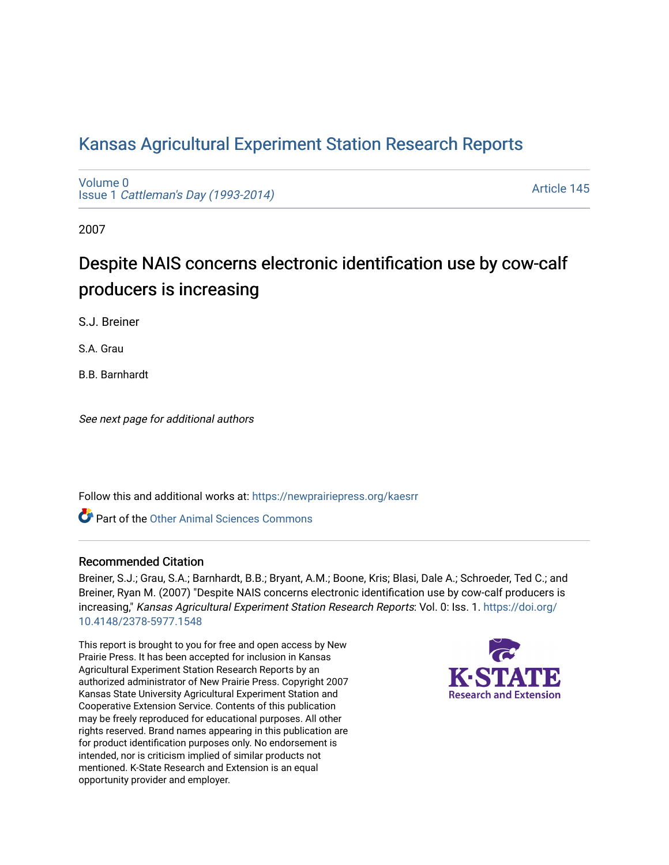## [Kansas Agricultural Experiment Station Research Reports](https://newprairiepress.org/kaesrr)

[Volume 0](https://newprairiepress.org/kaesrr/vol0) Issue 1 [Cattleman's Day \(1993-2014\)](https://newprairiepress.org/kaesrr/vol0/iss1) 

[Article 145](https://newprairiepress.org/kaesrr/vol0/iss1/145) 

2007

# Despite NAIS concerns electronic identification use by cow-calf producers is increasing

S.J. Breiner

S.A. Grau

B.B. Barnhardt

See next page for additional authors

Follow this and additional works at: [https://newprairiepress.org/kaesrr](https://newprairiepress.org/kaesrr?utm_source=newprairiepress.org%2Fkaesrr%2Fvol0%2Fiss1%2F145&utm_medium=PDF&utm_campaign=PDFCoverPages) 

Part of the [Other Animal Sciences Commons](http://network.bepress.com/hgg/discipline/82?utm_source=newprairiepress.org%2Fkaesrr%2Fvol0%2Fiss1%2F145&utm_medium=PDF&utm_campaign=PDFCoverPages)

#### Recommended Citation

Breiner, S.J.; Grau, S.A.; Barnhardt, B.B.; Bryant, A.M.; Boone, Kris; Blasi, Dale A.; Schroeder, Ted C.; and Breiner, Ryan M. (2007) "Despite NAIS concerns electronic identification use by cow-calf producers is increasing," Kansas Agricultural Experiment Station Research Reports: Vol. 0: Iss. 1. [https://doi.org/](https://doi.org/10.4148/2378-5977.1548) [10.4148/2378-5977.1548](https://doi.org/10.4148/2378-5977.1548)

This report is brought to you for free and open access by New Prairie Press. It has been accepted for inclusion in Kansas Agricultural Experiment Station Research Reports by an authorized administrator of New Prairie Press. Copyright 2007 Kansas State University Agricultural Experiment Station and Cooperative Extension Service. Contents of this publication may be freely reproduced for educational purposes. All other rights reserved. Brand names appearing in this publication are for product identification purposes only. No endorsement is intended, nor is criticism implied of similar products not mentioned. K-State Research and Extension is an equal opportunity provider and employer.

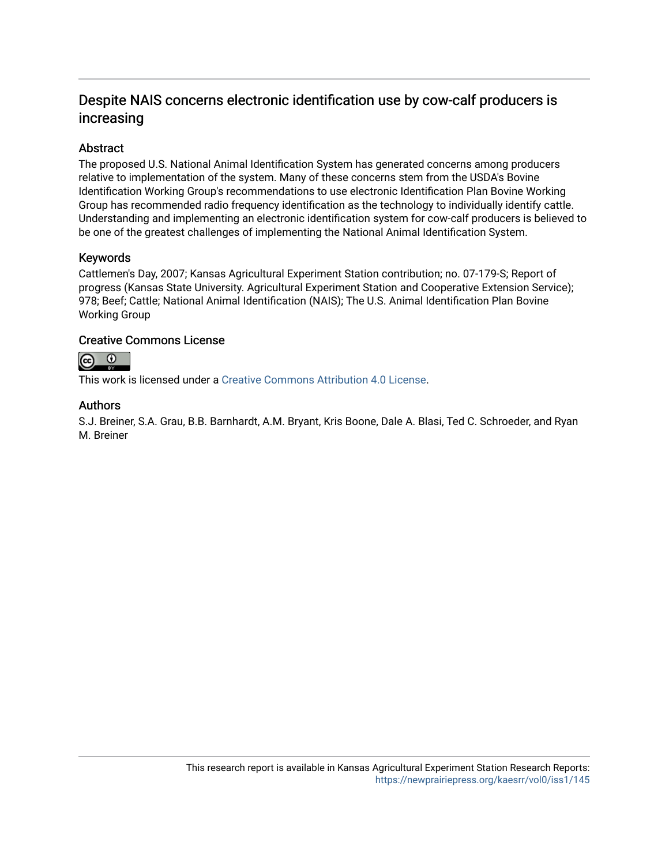### Despite NAIS concerns electronic identification use by cow-calf producers is increasing

#### Abstract

The proposed U.S. National Animal Identification System has generated concerns among producers relative to implementation of the system. Many of these concerns stem from the USDA's Bovine Identification Working Group's recommendations to use electronic Identification Plan Bovine Working Group has recommended radio frequency identification as the technology to individually identify cattle. Understanding and implementing an electronic identification system for cow-calf producers is believed to be one of the greatest challenges of implementing the National Animal Identification System.

#### Keywords

Cattlemen's Day, 2007; Kansas Agricultural Experiment Station contribution; no. 07-179-S; Report of progress (Kansas State University. Agricultural Experiment Station and Cooperative Extension Service); 978; Beef; Cattle; National Animal Identification (NAIS); The U.S. Animal Identification Plan Bovine Working Group

#### Creative Commons License



This work is licensed under a [Creative Commons Attribution 4.0 License](https://creativecommons.org/licenses/by/4.0/).

#### Authors

S.J. Breiner, S.A. Grau, B.B. Barnhardt, A.M. Bryant, Kris Boone, Dale A. Blasi, Ted C. Schroeder, and Ryan M. Breiner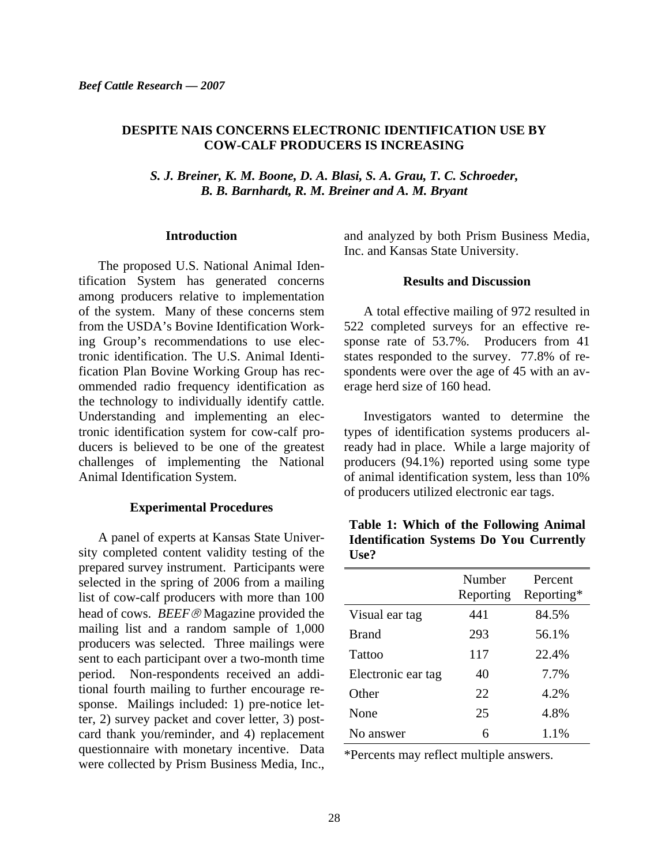#### **DESPITE NAIS CONCERNS ELECTRONIC IDENTIFICATION USE BY COW-CALF PRODUCERS IS INCREASING**

*S. J. Breiner, K. M. Boone, D. A. Blasi, S. A. Grau, T. C. Schroeder, B. B. Barnhardt, R. M. Breiner and A. M. Bryant* 

#### **Introduction**

The proposed U.S. National Animal Identification System has generated concerns among producers relative to implementation of the system. Many of these concerns stem from the USDA's Bovine Identification Working Group's recommendations to use electronic identification. The U.S. Animal Identification Plan Bovine Working Group has recommended radio frequency identification as the technology to individually identify cattle. Understanding and implementing an electronic identification system for cow-calf producers is believed to be one of the greatest challenges of implementing the National Animal Identification System.

#### **Experimental Procedures**

A panel of experts at Kansas State University completed content validity testing of the prepared survey instrument. Participants were selected in the spring of 2006 from a mailing list of cow-calf producers with more than 100 head of cows. *BEEF*® Magazine provided the mailing list and a random sample of 1,000 producers was selected. Three mailings were sent to each participant over a two-month time period. Non-respondents received an additional fourth mailing to further encourage response. Mailings included: 1) pre-notice letter, 2) survey packet and cover letter, 3) postcard thank you/reminder, and 4) replacement questionnaire with monetary incentive. Data were collected by Prism Business Media, Inc., and analyzed by both Prism Business Media, Inc. and Kansas State University.

#### **Results and Discussion**

A total effective mailing of 972 resulted in 522 completed surveys for an effective response rate of 53.7%. Producers from 41 states responded to the survey. 77.8% of respondents were over the age of 45 with an average herd size of 160 head.

Investigators wanted to determine the types of identification systems producers already had in place. While a large majority of producers (94.1%) reported using some type of animal identification system, less than 10% of producers utilized electronic ear tags.

| Table 1: Which of the Following Animal         |  |
|------------------------------------------------|--|
| <b>Identification Systems Do You Currently</b> |  |
| Use?                                           |  |

|                    | Number<br>Reporting | Percent<br>Reporting* |
|--------------------|---------------------|-----------------------|
| Visual ear tag     | 441                 | 84.5%                 |
| <b>Brand</b>       | 293                 | 56.1%                 |
| Tattoo             | 117                 | 22.4%                 |
| Electronic ear tag | 40                  | 7.7%                  |
| Other              | 22                  | 4.2%                  |
| None               | 25                  | 4.8%                  |
| No answer          | 6                   | 1.1%                  |

\*Percents may reflect multiple answers.